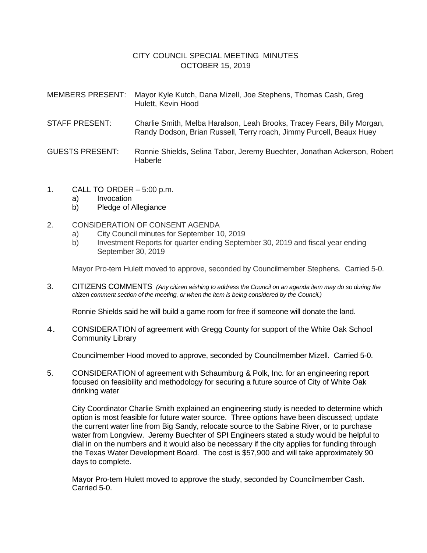## CITY COUNCIL SPECIAL MEETING MINUTES OCTOBER 15, 2019

| <b>MEMBERS PRESENT:</b> | Mayor Kyle Kutch, Dana Mizell, Joe Stephens, Thomas Cash, Greg<br>Hulett, Kevin Hood                                                           |
|-------------------------|------------------------------------------------------------------------------------------------------------------------------------------------|
| <b>STAFF PRESENT:</b>   | Charlie Smith, Melba Haralson, Leah Brooks, Tracey Fears, Billy Morgan,<br>Randy Dodson, Brian Russell, Terry roach, Jimmy Purcell, Beaux Huey |
| <b>GUESTS PRESENT:</b>  | Ronnie Shields, Selina Tabor, Jeremy Buechter, Jonathan Ackerson, Robert<br>Haberle                                                            |

- 1. CALL TO ORDER 5:00 p.m.
	- a) Invocation
	- b) Pledge of Allegiance
- 2. CONSIDERATION OF CONSENT AGENDA
	- a) City Council minutes for September 10, 2019
	- b) Investment Reports for quarter ending September 30, 2019 and fiscal year ending September 30, 2019

Mayor Pro-tem Hulett moved to approve, seconded by Councilmember Stephens. Carried 5-0.

3. CITIZENS COMMENTS *(Any citizen wishing to address the Council on an agenda item may do so during the citizen comment section of the meeting, or when the item is being considered by the Council.)*

Ronnie Shields said he will build a game room for free if someone will donate the land.

4. CONSIDERATION of agreement with Gregg County for support of the White Oak School Community Library

Councilmember Hood moved to approve, seconded by Councilmember Mizell. Carried 5-0.

5. CONSIDERATION of agreement with Schaumburg & Polk, Inc. for an engineering report focused on feasibility and methodology for securing a future source of City of White Oak drinking water

City Coordinator Charlie Smith explained an engineering study is needed to determine which option is most feasible for future water source. Three options have been discussed; update the current water line from Big Sandy, relocate source to the Sabine River, or to purchase water from Longview. Jeremy Buechter of SPI Engineers stated a study would be helpful to dial in on the numbers and it would also be necessary if the city applies for funding through the Texas Water Development Board. The cost is \$57,900 and will take approximately 90 days to complete.

Mayor Pro-tem Hulett moved to approve the study, seconded by Councilmember Cash. Carried 5-0.